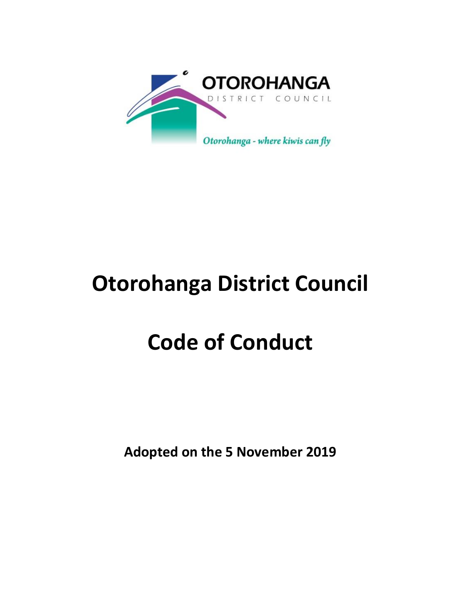

# **Otorohanga District Council**

# **Code of Conduct**

**Adopted on the 5 November 2019**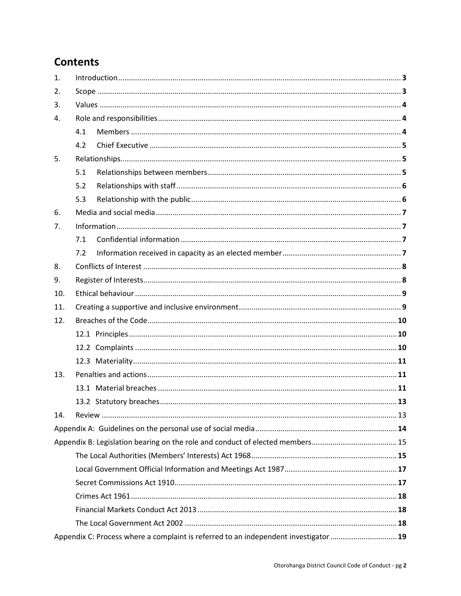# **Contents**

| 1.  |                                                                                      |  |  |  |
|-----|--------------------------------------------------------------------------------------|--|--|--|
| 2.  |                                                                                      |  |  |  |
| 3.  |                                                                                      |  |  |  |
| 4.  |                                                                                      |  |  |  |
|     | 4.1                                                                                  |  |  |  |
|     | 4.2                                                                                  |  |  |  |
| 5.  |                                                                                      |  |  |  |
|     | 5.1                                                                                  |  |  |  |
|     | 5.2                                                                                  |  |  |  |
|     | 5.3                                                                                  |  |  |  |
| 6.  |                                                                                      |  |  |  |
| 7.  |                                                                                      |  |  |  |
|     | 7.1                                                                                  |  |  |  |
|     | 7.2                                                                                  |  |  |  |
| 8.  |                                                                                      |  |  |  |
| 9.  |                                                                                      |  |  |  |
| 10. |                                                                                      |  |  |  |
| 11. |                                                                                      |  |  |  |
| 12. |                                                                                      |  |  |  |
|     |                                                                                      |  |  |  |
|     |                                                                                      |  |  |  |
|     |                                                                                      |  |  |  |
| 13. |                                                                                      |  |  |  |
|     |                                                                                      |  |  |  |
|     |                                                                                      |  |  |  |
| 14. |                                                                                      |  |  |  |
|     |                                                                                      |  |  |  |
|     |                                                                                      |  |  |  |
|     |                                                                                      |  |  |  |
|     |                                                                                      |  |  |  |
|     |                                                                                      |  |  |  |
|     |                                                                                      |  |  |  |
|     |                                                                                      |  |  |  |
|     |                                                                                      |  |  |  |
|     | Appendix C: Process where a complaint is referred to an independent investigator  19 |  |  |  |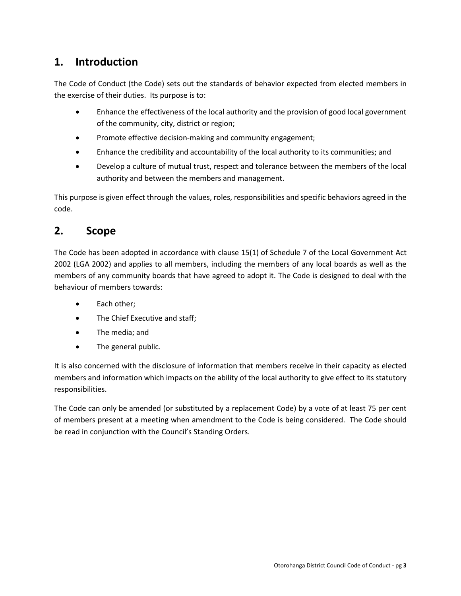# <span id="page-2-0"></span>**1. Introduction**

The Code of Conduct (the Code) sets out the standards of behavior expected from elected members in the exercise of their duties. Its purpose is to:

- Enhance the effectiveness of the local authority and the provision of good local government of the community, city, district or region;
- Promote effective decision-making and community engagement;
- Enhance the credibility and accountability of the local authority to its communities; and
- Develop a culture of mutual trust, respect and tolerance between the members of the local authority and between the members and management.

This purpose is given effect through the values, roles, responsibilities and specific behaviors agreed in the code.

# <span id="page-2-1"></span>**2. Scope**

The Code has been adopted in accordance with clause 15(1) of Schedule 7 of the Local Government Act 2002 (LGA 2002) and applies to all members, including the members of any local boards as well as the members of any community boards that have agreed to adopt it. The Code is designed to deal with the behaviour of members towards:

- Each other:
- The Chief Executive and staff;
- The media; and
- The general public.

It is also concerned with the disclosure of information that members receive in their capacity as elected members and information which impacts on the ability of the local authority to give effect to its statutory responsibilities.

The Code can only be amended (or substituted by a replacement Code) by a vote of at least 75 per cent of members present at a meeting when amendment to the Code is being considered. The Code should be read in conjunction with the Council's Standing Orders.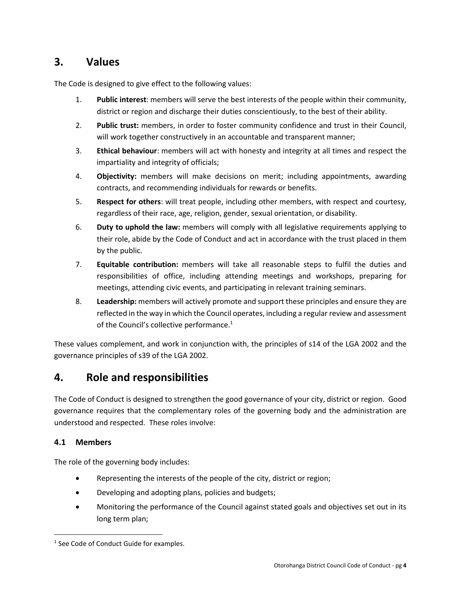# <span id="page-3-0"></span>**3. Values**

The Code is designed to give effect to the following values:

- 1. **Public interest**: members will serve the best interests of the people within their community, district or region and discharge their duties conscientiously, to the best of their ability.
- 2. **Public trust:** members, in order to foster community confidence and trust in their Council, will work together constructively in an accountable and transparent manner;
- 3. **Ethical behaviour**: members will act with honesty and integrity at all times and respect the impartiality and integrity of officials;
- 4. **Objectivity:** members will make decisions on merit; including appointments, awarding contracts, and recommending individuals for rewards or benefits.
- 5. **Respect for others**: will treat people, including other members, with respect and courtesy, regardless of their race, age, religion, gender, sexual orientation, or disability.
- 6. **Duty to uphold the law:** members will comply with all legislative requirements applying to their role, abide by the Code of Conduct and act in accordance with the trust placed in them by the public.
- 7. **Equitable contribution:** members will take all reasonable steps to fulfil the duties and responsibilities of office, including attending meetings and workshops, preparing for meetings, attending civic events, and participating in relevant training seminars.
- 8. **Leadership:** members will actively promote and support these principles and ensure they are reflected in the way in which the Council operates, including a regular review and assessment of the Council's collective performance.<sup>1</sup>

These values complement, and work in conjunction with, the principles of s14 of the LGA 2002 and the governance principles of s39 of the LGA 2002.

# <span id="page-3-1"></span>**4. Role and responsibilities**

The Code of Conduct is designed to strengthen the good governance of your city, district or region. Good governance requires that the complementary roles of the governing body and the administration are understood and respected. These roles involve:

## <span id="page-3-2"></span>**4.1 Members**

 $\overline{a}$ 

The role of the governing body includes:

- Representing the interests of the people of the city, district or region;
- Developing and adopting plans, policies and budgets;
- Monitoring the performance of the Council against stated goals and objectives set out in its long term plan;

<sup>&</sup>lt;sup>1</sup> See Code of Conduct Guide for examples.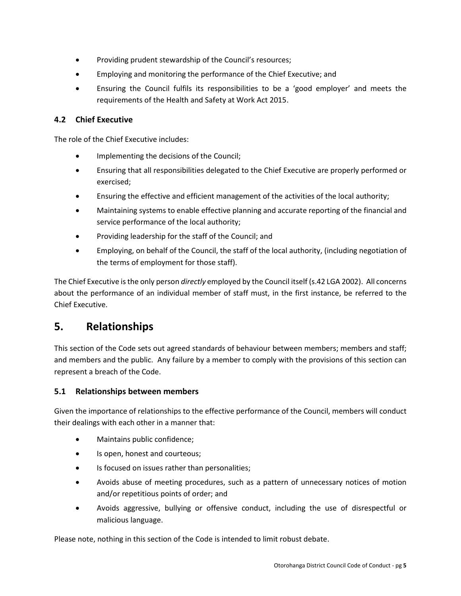- Providing prudent stewardship of the Council's resources;
- Employing and monitoring the performance of the Chief Executive; and
- Ensuring the Council fulfils its responsibilities to be a 'good employer' and meets the requirements of the Health and Safety at Work Act 2015.

## <span id="page-4-0"></span>**4.2 Chief Executive**

The role of the Chief Executive includes:

- Implementing the decisions of the Council;
- Ensuring that all responsibilities delegated to the Chief Executive are properly performed or exercised;
- Ensuring the effective and efficient management of the activities of the local authority;
- Maintaining systems to enable effective planning and accurate reporting of the financial and service performance of the local authority;
- Providing leadership for the staff of the Council; and
- Employing, on behalf of the Council, the staff of the local authority, (including negotiation of the terms of employment for those staff).

The Chief Executive is the only person *directly* employed by the Council itself (s.42 LGA 2002). All concerns about the performance of an individual member of staff must, in the first instance, be referred to the Chief Executive.

# <span id="page-4-1"></span>**5. Relationships**

This section of the Code sets out agreed standards of behaviour between members; members and staff; and members and the public. Any failure by a member to comply with the provisions of this section can represent a breach of the Code.

## <span id="page-4-2"></span>**5.1 Relationships between members**

Given the importance of relationships to the effective performance of the Council, members will conduct their dealings with each other in a manner that:

- Maintains public confidence;
- Is open, honest and courteous;
- Is focused on issues rather than personalities;
- Avoids abuse of meeting procedures, such as a pattern of unnecessary notices of motion and/or repetitious points of order; and
- Avoids aggressive, bullying or offensive conduct, including the use of disrespectful or malicious language.

Please note, nothing in this section of the Code is intended to limit robust debate.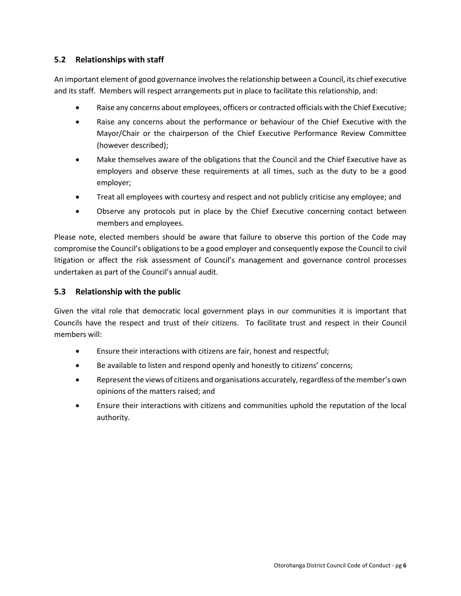## <span id="page-5-0"></span>**5.2 Relationships with staff**

An important element of good governance involves the relationship between a Council, its chief executive and its staff. Members will respect arrangements put in place to facilitate this relationship, and:

- Raise any concerns about employees, officers or contracted officials with the Chief Executive;
- Raise any concerns about the performance or behaviour of the Chief Executive with the Mayor/Chair or the chairperson of the Chief Executive Performance Review Committee (however described);
- Make themselves aware of the obligations that the Council and the Chief Executive have as employers and observe these requirements at all times, such as the duty to be a good employer;
- Treat all employees with courtesy and respect and not publicly criticise any employee; and
- Observe any protocols put in place by the Chief Executive concerning contact between members and employees.

Please note, elected members should be aware that failure to observe this portion of the Code may compromise the Council's obligations to be a good employer and consequently expose the Council to civil litigation or affect the risk assessment of Council's management and governance control processes undertaken as part of the Council's annual audit.

## <span id="page-5-1"></span>**5.3 Relationship with the public**

Given the vital role that democratic local government plays in our communities it is important that Councils have the respect and trust of their citizens. To facilitate trust and respect in their Council members will:

- Ensure their interactions with citizens are fair, honest and respectful;
- Be available to listen and respond openly and honestly to citizens' concerns;
- Represent the views of citizens and organisations accurately, regardless of the member's own opinions of the matters raised; and
- Ensure their interactions with citizens and communities uphold the reputation of the local authority.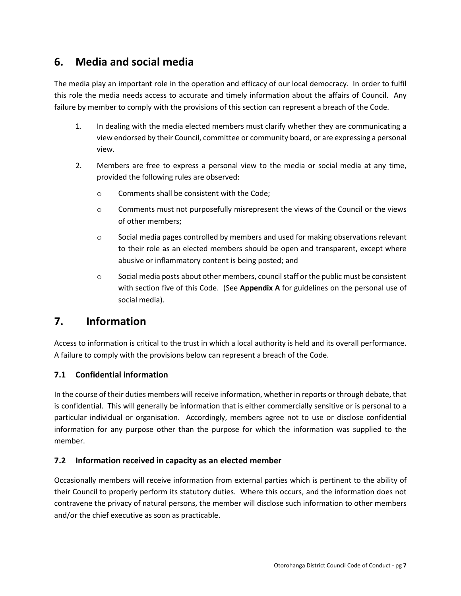# <span id="page-6-0"></span>**6. Media and social media**

The media play an important role in the operation and efficacy of our local democracy. In order to fulfil this role the media needs access to accurate and timely information about the affairs of Council. Any failure by member to comply with the provisions of this section can represent a breach of the Code.

- 1. In dealing with the media elected members must clarify whether they are communicating a view endorsed by their Council, committee or community board, or are expressing a personal view.
- 2. Members are free to express a personal view to the media or social media at any time, provided the following rules are observed:
	- o Comments shall be consistent with the Code;
	- o Comments must not purposefully misrepresent the views of the Council or the views of other members;
	- $\circ$  Social media pages controlled by members and used for making observations relevant to their role as an elected members should be open and transparent, except where abusive or inflammatory content is being posted; and
	- o Social media posts about other members, council staff or the public must be consistent with section five of this Code. (See **Appendix A** for guidelines on the personal use of social media).

# <span id="page-6-1"></span>**7. Information**

Access to information is critical to the trust in which a local authority is held and its overall performance. A failure to comply with the provisions below can represent a breach of the Code.

## <span id="page-6-2"></span>**7.1 Confidential information**

In the course of their duties members will receive information, whether in reports or through debate, that is confidential. This will generally be information that is either commercially sensitive or is personal to a particular individual or organisation. Accordingly, members agree not to use or disclose confidential information for any purpose other than the purpose for which the information was supplied to the member.

## <span id="page-6-3"></span>**7.2 Information received in capacity as an elected member**

Occasionally members will receive information from external parties which is pertinent to the ability of their Council to properly perform its statutory duties. Where this occurs, and the information does not contravene the privacy of natural persons, the member will disclose such information to other members and/or the chief executive as soon as practicable.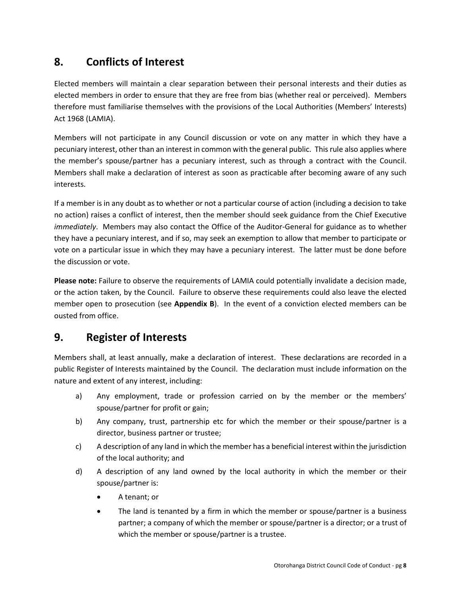# <span id="page-7-0"></span>**8. Conflicts of Interest**

Elected members will maintain a clear separation between their personal interests and their duties as elected members in order to ensure that they are free from bias (whether real or perceived). Members therefore must familiarise themselves with the provisions of the Local Authorities (Members' Interests) Act 1968 (LAMIA).

Members will not participate in any Council discussion or vote on any matter in which they have a pecuniary interest, other than an interest in common with the general public. This rule also applies where the member's spouse/partner has a pecuniary interest, such as through a contract with the Council. Members shall make a declaration of interest as soon as practicable after becoming aware of any such interests.

If a member is in any doubt as to whether or not a particular course of action (including a decision to take no action) raises a conflict of interest, then the member should seek guidance from the Chief Executive *immediately*. Members may also contact the Office of the Auditor-General for guidance as to whether they have a pecuniary interest, and if so, may seek an exemption to allow that member to participate or vote on a particular issue in which they may have a pecuniary interest. The latter must be done before the discussion or vote.

**Please note:** Failure to observe the requirements of LAMIA could potentially invalidate a decision made, or the action taken, by the Council. Failure to observe these requirements could also leave the elected member open to prosecution (see **Appendix B**). In the event of a conviction elected members can be ousted from office.

# <span id="page-7-1"></span>**9. Register of Interests**

Members shall, at least annually, make a declaration of interest. These declarations are recorded in a public Register of Interests maintained by the Council. The declaration must include information on the nature and extent of any interest, including:

- a) Any employment, trade or profession carried on by the member or the members' spouse/partner for profit or gain;
- b) Any company, trust, partnership etc for which the member or their spouse/partner is a director, business partner or trustee;
- c) A description of any land in which the member has a beneficial interest within the jurisdiction of the local authority; and
- d) A description of any land owned by the local authority in which the member or their spouse/partner is:
	- A tenant; or
	- The land is tenanted by a firm in which the member or spouse/partner is a business partner; a company of which the member or spouse/partner is a director; or a trust of which the member or spouse/partner is a trustee.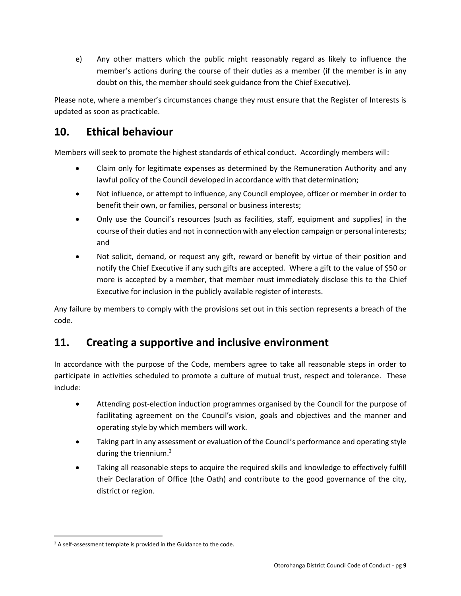e) Any other matters which the public might reasonably regard as likely to influence the member's actions during the course of their duties as a member (if the member is in any doubt on this, the member should seek guidance from the Chief Executive).

Please note, where a member's circumstances change they must ensure that the Register of Interests is updated as soon as practicable.

# <span id="page-8-0"></span>**10. Ethical behaviour**

Members will seek to promote the highest standards of ethical conduct. Accordingly members will:

- Claim only for legitimate expenses as determined by the Remuneration Authority and any lawful policy of the Council developed in accordance with that determination;
- Not influence, or attempt to influence, any Council employee, officer or member in order to benefit their own, or families, personal or business interests;
- Only use the Council's resources (such as facilities, staff, equipment and supplies) in the course of their duties and not in connection with any election campaign or personal interests; and
- Not solicit, demand, or request any gift, reward or benefit by virtue of their position and notify the Chief Executive if any such gifts are accepted. Where a gift to the value of \$50 or more is accepted by a member, that member must immediately disclose this to the Chief Executive for inclusion in the publicly available register of interests.

Any failure by members to comply with the provisions set out in this section represents a breach of the code.

# <span id="page-8-1"></span>**11. Creating a supportive and inclusive environment**

In accordance with the purpose of the Code, members agree to take all reasonable steps in order to participate in activities scheduled to promote a culture of mutual trust, respect and tolerance. These include:

- Attending post-election induction programmes organised by the Council for the purpose of facilitating agreement on the Council's vision, goals and objectives and the manner and operating style by which members will work.
- Taking part in any assessment or evaluation of the Council's performance and operating style during the triennium.<sup>2</sup>
- Taking all reasonable steps to acquire the required skills and knowledge to effectively fulfill their Declaration of Office (the Oath) and contribute to the good governance of the city, district or region.

 $\overline{a}$ 

<sup>&</sup>lt;sup>2</sup> A self-assessment template is provided in the Guidance to the code.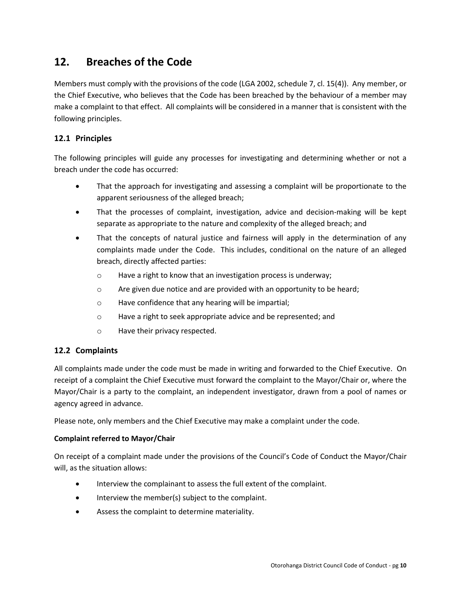# <span id="page-9-0"></span>**12. Breaches of the Code**

Members must comply with the provisions of the code (LGA 2002, schedule 7, cl. 15(4)). Any member, or the Chief Executive, who believes that the Code has been breached by the behaviour of a member may make a complaint to that effect. All complaints will be considered in a manner that is consistent with the following principles.

## <span id="page-9-1"></span>**12.1 Principles**

The following principles will guide any processes for investigating and determining whether or not a breach under the code has occurred:

- That the approach for investigating and assessing a complaint will be proportionate to the apparent seriousness of the alleged breach;
- That the processes of complaint, investigation, advice and decision-making will be kept separate as appropriate to the nature and complexity of the alleged breach; and
- That the concepts of natural justice and fairness will apply in the determination of any complaints made under the Code. This includes, conditional on the nature of an alleged breach, directly affected parties:
	- o Have a right to know that an investigation process is underway;
	- o Are given due notice and are provided with an opportunity to be heard;
	- o Have confidence that any hearing will be impartial;
	- o Have a right to seek appropriate advice and be represented; and
	- o Have their privacy respected.

## <span id="page-9-2"></span>**12.2 Complaints**

All complaints made under the code must be made in writing and forwarded to the Chief Executive. On receipt of a complaint the Chief Executive must forward the complaint to the Mayor/Chair or, where the Mayor/Chair is a party to the complaint, an independent investigator, drawn from a pool of names or agency agreed in advance.

Please note, only members and the Chief Executive may make a complaint under the code.

#### **Complaint referred to Mayor/Chair**

On receipt of a complaint made under the provisions of the Council's Code of Conduct the Mayor/Chair will, as the situation allows:

- Interview the complainant to assess the full extent of the complaint.
- Interview the member(s) subject to the complaint.
- Assess the complaint to determine materiality.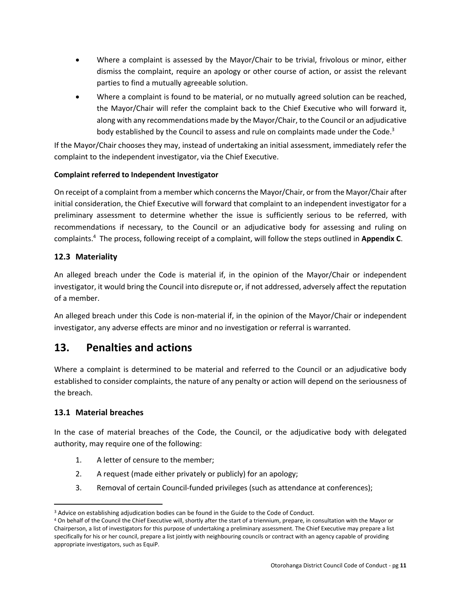- Where a complaint is assessed by the Mayor/Chair to be trivial, frivolous or minor, either dismiss the complaint, require an apology or other course of action, or assist the relevant parties to find a mutually agreeable solution.
- Where a complaint is found to be material, or no mutually agreed solution can be reached, the Mayor/Chair will refer the complaint back to the Chief Executive who will forward it, along with any recommendations made by the Mayor/Chair, to the Council or an adjudicative body established by the Council to assess and rule on complaints made under the Code.<sup>3</sup>

If the Mayor/Chair chooses they may, instead of undertaking an initial assessment, immediately refer the complaint to the independent investigator, via the Chief Executive.

## **Complaint referred to Independent Investigator**

On receipt of a complaint from a member which concerns the Mayor/Chair, or from the Mayor/Chair after initial consideration, the Chief Executive will forward that complaint to an independent investigator for a preliminary assessment to determine whether the issue is sufficiently serious to be referred, with recommendations if necessary, to the Council or an adjudicative body for assessing and ruling on complaints. <sup>4</sup> The process, following receipt of a complaint, will follow the steps outlined in **Appendix C**.

## <span id="page-10-0"></span>**12.3 Materiality**

An alleged breach under the Code is material if, in the opinion of the Mayor/Chair or independent investigator, it would bring the Council into disrepute or, if not addressed, adversely affect the reputation of a member.

An alleged breach under this Code is non-material if, in the opinion of the Mayor/Chair or independent investigator, any adverse effects are minor and no investigation or referral is warranted.

# <span id="page-10-1"></span>**13. Penalties and actions**

Where a complaint is determined to be material and referred to the Council or an adjudicative body established to consider complaints, the nature of any penalty or action will depend on the seriousness of the breach.

## <span id="page-10-2"></span>**13.1 Material breaches**

In the case of material breaches of the Code, the Council, or the adjudicative body with delegated authority, may require one of the following:

- 1. A letter of censure to the member;
- 2. A request (made either privately or publicly) for an apology;
- 3. Removal of certain Council-funded privileges (such as attendance at conferences);

 $\overline{a}$ <sup>3</sup> Advice on establishing adjudication bodies can be found in the Guide to the Code of Conduct.

<sup>4</sup> On behalf of the Council the Chief Executive will, shortly after the start of a triennium, prepare, in consultation with the Mayor or Chairperson, a list of investigators for this purpose of undertaking a preliminary assessment. The Chief Executive may prepare a list specifically for his or her council, prepare a list jointly with neighbouring councils or contract with an agency capable of providing appropriate investigators, such as EquiP.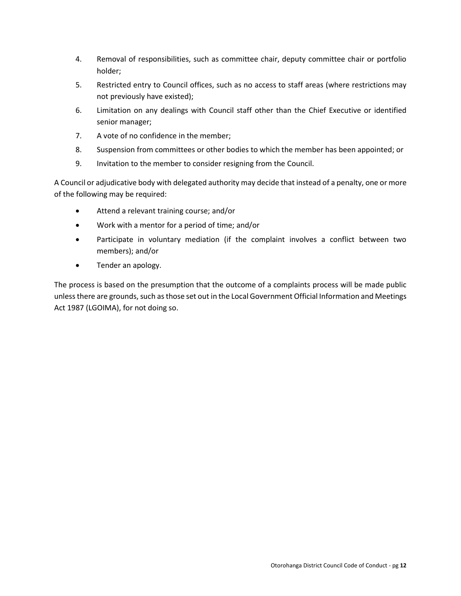- 4. Removal of responsibilities, such as committee chair, deputy committee chair or portfolio holder;
- 5. Restricted entry to Council offices, such as no access to staff areas (where restrictions may not previously have existed);
- 6. Limitation on any dealings with Council staff other than the Chief Executive or identified senior manager;
- 7. A vote of no confidence in the member;
- 8. Suspension from committees or other bodies to which the member has been appointed; or
- 9. Invitation to the member to consider resigning from the Council.

A Council or adjudicative body with delegated authority may decide that instead of a penalty, one or more of the following may be required:

- Attend a relevant training course; and/or
- Work with a mentor for a period of time; and/or
- Participate in voluntary mediation (if the complaint involves a conflict between two members); and/or
- Tender an apology.

The process is based on the presumption that the outcome of a complaints process will be made public unless there are grounds, such as those set out in the Local Government Official Information and Meetings Act 1987 (LGOIMA), for not doing so.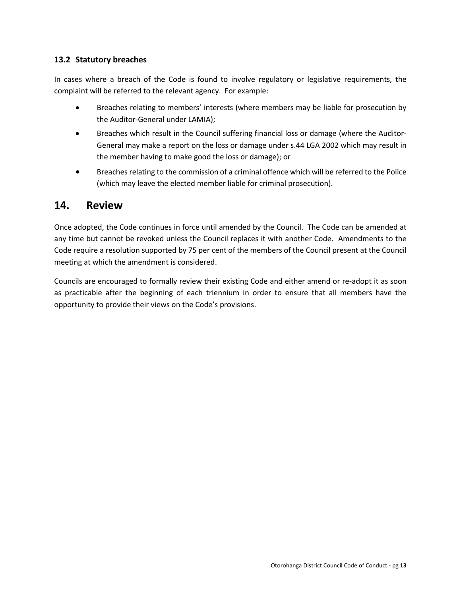## <span id="page-12-0"></span>**13.2 Statutory breaches**

In cases where a breach of the Code is found to involve regulatory or legislative requirements, the complaint will be referred to the relevant agency. For example:

- Breaches relating to members' interests (where members may be liable for prosecution by the Auditor-General under LAMIA);
- Breaches which result in the Council suffering financial loss or damage (where the Auditor-General may make a report on the loss or damage under s.44 LGA 2002 which may result in the member having to make good the loss or damage); or
- Breaches relating to the commission of a criminal offence which will be referred to the Police (which may leave the elected member liable for criminal prosecution).

## <span id="page-12-1"></span>**14. Review**

Once adopted, the Code continues in force until amended by the Council. The Code can be amended at any time but cannot be revoked unless the Council replaces it with another Code. Amendments to the Code require a resolution supported by 75 per cent of the members of the Council present at the Council meeting at which the amendment is considered.

Councils are encouraged to formally review their existing Code and either amend or re-adopt it as soon as practicable after the beginning of each triennium in order to ensure that all members have the opportunity to provide their views on the Code's provisions.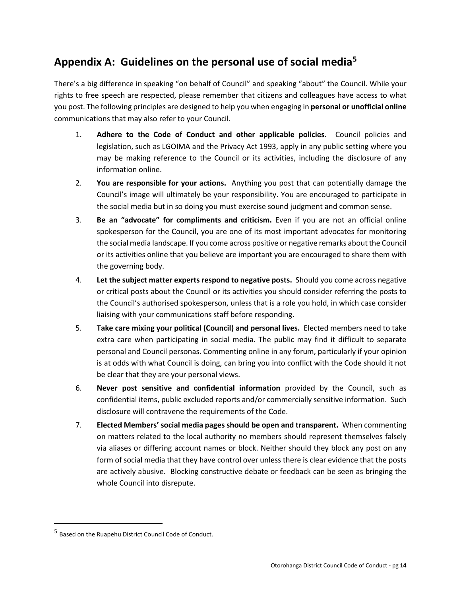# <span id="page-13-0"></span>**Appendix A: Guidelines on the personal use of social media<sup>5</sup>**

There's a big difference in speaking "on behalf of Council" and speaking "about" the Council. While your rights to free speech are respected, please remember that citizens and colleagues have access to what you post. The following principles are designed to help you when engaging in **personal or unofficial online** communications that may also refer to your Council.

- 1. **Adhere to the Code of Conduct and other applicable policies.** Council policies and legislation, such as LGOIMA and the Privacy Act 1993, apply in any public setting where you may be making reference to the Council or its activities, including the disclosure of any information online.
- 2. **You are responsible for your actions.** Anything you post that can potentially damage the Council's image will ultimately be your responsibility. You are encouraged to participate in the social media but in so doing you must exercise sound judgment and common sense.
- 3. **Be an "advocate" for compliments and criticism.** Even if you are not an official online spokesperson for the Council, you are one of its most important advocates for monitoring the social media landscape. If you come across positive or negative remarks about the Council or its activities online that you believe are important you are encouraged to share them with the governing body.
- 4. **Let the subject matter experts respond to negative posts.** Should you come across negative or critical posts about the Council or its activities you should consider referring the posts to the Council's authorised spokesperson, unless that is a role you hold, in which case consider liaising with your communications staff before responding.
- 5. **Take care mixing your political (Council) and personal lives.** Elected members need to take extra care when participating in social media. The public may find it difficult to separate personal and Council personas. Commenting online in any forum, particularly if your opinion is at odds with what Council is doing, can bring you into conflict with the Code should it not be clear that they are your personal views.
- 6. **Never post sensitive and confidential information** provided by the Council, such as confidential items, public excluded reports and/or commercially sensitive information. Such disclosure will contravene the requirements of the Code.
- 7. **Elected Members' social media pages should be open and transparent.** When commenting on matters related to the local authority no members should represent themselves falsely via aliases or differing account names or block. Neither should they block any post on any form of social media that they have control over unless there is clear evidence that the posts are actively abusive. Blocking constructive debate or feedback can be seen as bringing the whole Council into disrepute.

 $\overline{a}$ 

<sup>&</sup>lt;sup>5</sup> Based on the Ruapehu District Council Code of Conduct.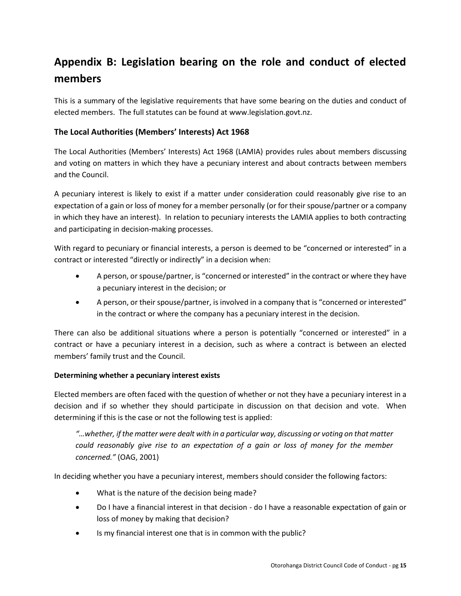# <span id="page-14-0"></span>**Appendix B: Legislation bearing on the role and conduct of elected members**

This is a summary of the legislative requirements that have some bearing on the duties and conduct of elected members. The full statutes can be found a[t www.legislation.govt.nz.](http://www.legislationonline.govt.nz/)

## <span id="page-14-1"></span>**The Local Authorities (Members' Interests) Act 1968**

The Local Authorities (Members' Interests) Act 1968 (LAMIA) provides rules about members discussing and voting on matters in which they have a pecuniary interest and about contracts between members and the Council.

A pecuniary interest is likely to exist if a matter under consideration could reasonably give rise to an expectation of a gain or loss of money for a member personally (or for their spouse/partner or a company in which they have an interest). In relation to pecuniary interests the LAMIA applies to both contracting and participating in decision-making processes.

With regard to pecuniary or financial interests, a person is deemed to be "concerned or interested" in a contract or interested "directly or indirectly" in a decision when:

- A person, or spouse/partner, is "concerned or interested" in the contract or where they have a pecuniary interest in the decision; or
- A person, or their spouse/partner, is involved in a company that is "concerned or interested" in the contract or where the company has a pecuniary interest in the decision.

There can also be additional situations where a person is potentially "concerned or interested" in a contract or have a pecuniary interest in a decision, such as where a contract is between an elected members' family trust and the Council.

## **Determining whether a pecuniary interest exists**

Elected members are often faced with the question of whether or not they have a pecuniary interest in a decision and if so whether they should participate in discussion on that decision and vote. When determining if this is the case or not the following test is applied:

*"…whether, if the matter were dealt with in a particular way, discussing or voting on that matter could reasonably give rise to an expectation of a gain or loss of money for the member concerned."* (OAG, 2001)

In deciding whether you have a pecuniary interest, members should consider the following factors:

- What is the nature of the decision being made?
- Do I have a financial interest in that decision do I have a reasonable expectation of gain or loss of money by making that decision?
- Is my financial interest one that is in common with the public?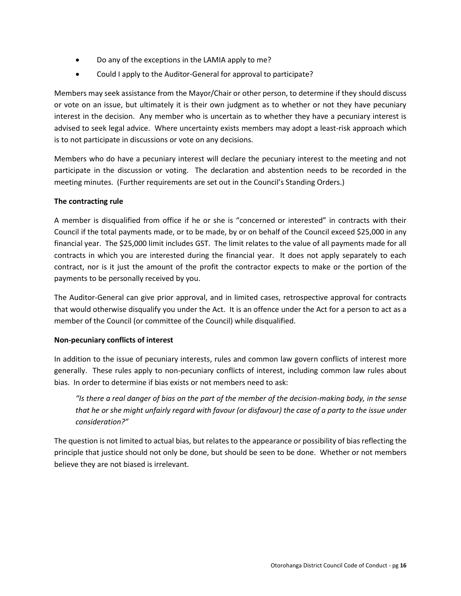- Do any of the exceptions in the LAMIA apply to me?
- Could I apply to the Auditor-General for approval to participate?

Members may seek assistance from the Mayor/Chair or other person, to determine if they should discuss or vote on an issue, but ultimately it is their own judgment as to whether or not they have pecuniary interest in the decision. Any member who is uncertain as to whether they have a pecuniary interest is advised to seek legal advice. Where uncertainty exists members may adopt a least-risk approach which is to not participate in discussions or vote on any decisions.

Members who do have a pecuniary interest will declare the pecuniary interest to the meeting and not participate in the discussion or voting. The declaration and abstention needs to be recorded in the meeting minutes. (Further requirements are set out in the Council's Standing Orders.)

#### **The contracting rule**

A member is disqualified from office if he or she is "concerned or interested" in contracts with their Council if the total payments made, or to be made, by or on behalf of the Council exceed \$25,000 in any financial year. The \$25,000 limit includes GST. The limit relates to the value of all payments made for all contracts in which you are interested during the financial year. It does not apply separately to each contract, nor is it just the amount of the profit the contractor expects to make or the portion of the payments to be personally received by you.

The Auditor-General can give prior approval, and in limited cases, retrospective approval for contracts that would otherwise disqualify you under the Act. It is an offence under the Act for a person to act as a member of the Council (or committee of the Council) while disqualified.

## **Non-pecuniary conflicts of interest**

In addition to the issue of pecuniary interests, rules and common law govern conflicts of interest more generally. These rules apply to non-pecuniary conflicts of interest, including common law rules about bias. In order to determine if bias exists or not members need to ask:

*"Is there a real danger of bias on the part of the member of the decision-making body, in the sense that he or she might unfairly regard with favour (or disfavour) the case of a party to the issue under consideration?"*

The question is not limited to actual bias, but relates to the appearance or possibility of bias reflecting the principle that justice should not only be done, but should be seen to be done. Whether or not members believe they are not biased is irrelevant.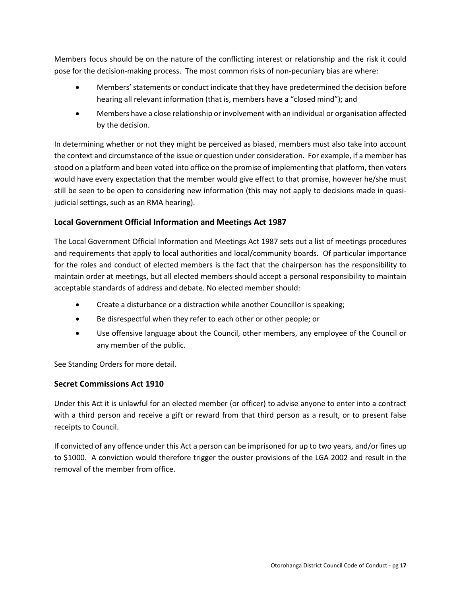Members focus should be on the nature of the conflicting interest or relationship and the risk it could pose for the decision-making process. The most common risks of non-pecuniary bias are where:

- Members' statements or conduct indicate that they have predetermined the decision before hearing all relevant information (that is, members have a "closed mind"); and
- Members have a close relationship or involvement with an individual or organisation affected by the decision.

In determining whether or not they might be perceived as biased, members must also take into account the context and circumstance of the issue or question under consideration. For example, if a member has stood on a platform and been voted into office on the promise of implementing that platform, then voters would have every expectation that the member would give effect to that promise, however he/she must still be seen to be open to considering new information (this may not apply to decisions made in quasijudicial settings, such as an RMA hearing).

## <span id="page-16-0"></span>**Local Government Official Information and Meetings Act 1987**

The Local Government Official Information and Meetings Act 1987 sets out a list of meetings procedures and requirements that apply to local authorities and local/community boards. Of particular importance for the roles and conduct of elected members is the fact that the chairperson has the responsibility to maintain order at meetings, but all elected members should accept a personal responsibility to maintain acceptable standards of address and debate. No elected member should:

- Create a disturbance or a distraction while another Councillor is speaking;
- Be disrespectful when they refer to each other or other people; or
- Use offensive language about the Council, other members, any employee of the Council or any member of the public.

See Standing Orders for more detail.

## <span id="page-16-1"></span>**Secret Commissions Act 1910**

Under this Act it is unlawful for an elected member (or officer) to advise anyone to enter into a contract with a third person and receive a gift or reward from that third person as a result, or to present false receipts to Council.

If convicted of any offence under this Act a person can be imprisoned for up to two years, and/or fines up to \$1000. A conviction would therefore trigger the ouster provisions of the LGA 2002 and result in the removal of the member from office.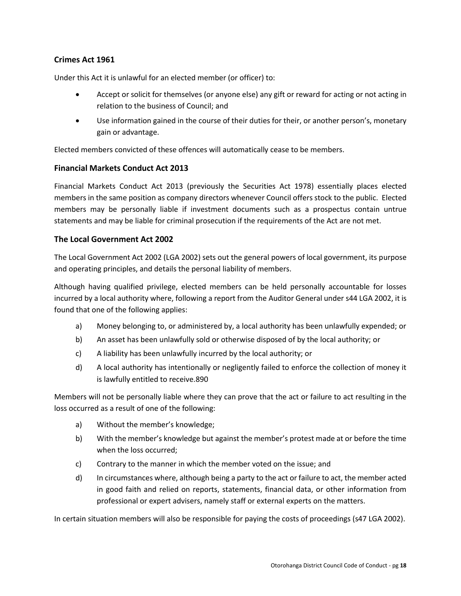## <span id="page-17-0"></span>**Crimes Act 1961**

Under this Act it is unlawful for an elected member (or officer) to:

- Accept or solicit for themselves (or anyone else) any gift or reward for acting or not acting in relation to the business of Council; and
- Use information gained in the course of their duties for their, or another person's, monetary gain or advantage.

Elected members convicted of these offences will automatically cease to be members.

#### <span id="page-17-1"></span>**Financial Markets Conduct Act 2013**

Financial Markets Conduct Act 2013 (previously the Securities Act 1978) essentially places elected members in the same position as company directors whenever Council offers stock to the public. Elected members may be personally liable if investment documents such as a prospectus contain untrue statements and may be liable for criminal prosecution if the requirements of the Act are not met.

#### <span id="page-17-2"></span>**The Local Government Act 2002**

The Local Government Act 2002 (LGA 2002) sets out the general powers of local government, its purpose and operating principles, and details the personal liability of members.

Although having qualified privilege, elected members can be held personally accountable for losses incurred by a local authority where, following a report from the Auditor General under s44 LGA 2002, it is found that one of the following applies:

- a) Money belonging to, or administered by, a local authority has been unlawfully expended; or
- b) An asset has been unlawfully sold or otherwise disposed of by the local authority; or
- c) A liability has been unlawfully incurred by the local authority; or
- d) A local authority has intentionally or negligently failed to enforce the collection of money it is lawfully entitled to receive.890

Members will not be personally liable where they can prove that the act or failure to act resulting in the loss occurred as a result of one of the following:

- a) Without the member's knowledge;
- b) With the member's knowledge but against the member's protest made at or before the time when the loss occurred;
- c) Contrary to the manner in which the member voted on the issue; and
- d) In circumstances where, although being a party to the act or failure to act, the member acted in good faith and relied on reports, statements, financial data, or other information from professional or expert advisers, namely staff or external experts on the matters.

In certain situation members will also be responsible for paying the costs of proceedings (s47 LGA 2002).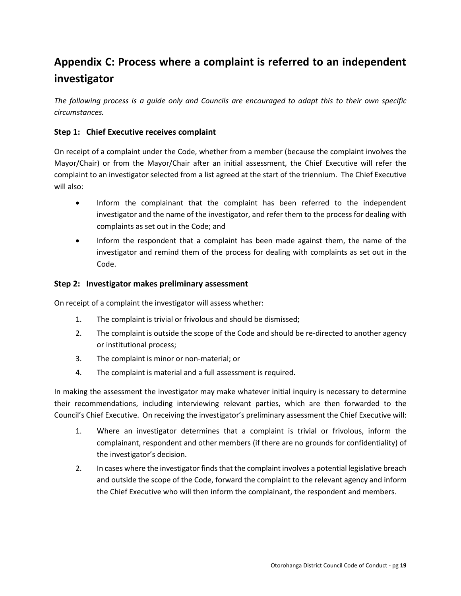# <span id="page-18-0"></span>**Appendix C: Process where a complaint is referred to an independent investigator**

*The following process is a guide only and Councils are encouraged to adapt this to their own specific circumstances.*

## **Step 1: Chief Executive receives complaint**

On receipt of a complaint under the Code, whether from a member (because the complaint involves the Mayor/Chair) or from the Mayor/Chair after an initial assessment, the Chief Executive will refer the complaint to an investigator selected from a list agreed at the start of the triennium. The Chief Executive will also:

- Inform the complainant that the complaint has been referred to the independent investigator and the name of the investigator, and refer them to the process for dealing with complaints as set out in the Code; and
- Inform the respondent that a complaint has been made against them, the name of the investigator and remind them of the process for dealing with complaints as set out in the Code.

#### **Step 2: Investigator makes preliminary assessment**

On receipt of a complaint the investigator will assess whether:

- 1. The complaint is trivial or frivolous and should be dismissed;
- 2. The complaint is outside the scope of the Code and should be re-directed to another agency or institutional process;
- 3. The complaint is minor or non-material; or
- 4. The complaint is material and a full assessment is required.

In making the assessment the investigator may make whatever initial inquiry is necessary to determine their recommendations, including interviewing relevant parties, which are then forwarded to the Council's Chief Executive. On receiving the investigator's preliminary assessment the Chief Executive will:

- 1. Where an investigator determines that a complaint is trivial or frivolous, inform the complainant, respondent and other members (if there are no grounds for confidentiality) of the investigator's decision.
- 2. In cases where the investigator finds that the complaint involves a potential legislative breach and outside the scope of the Code, forward the complaint to the relevant agency and inform the Chief Executive who will then inform the complainant, the respondent and members.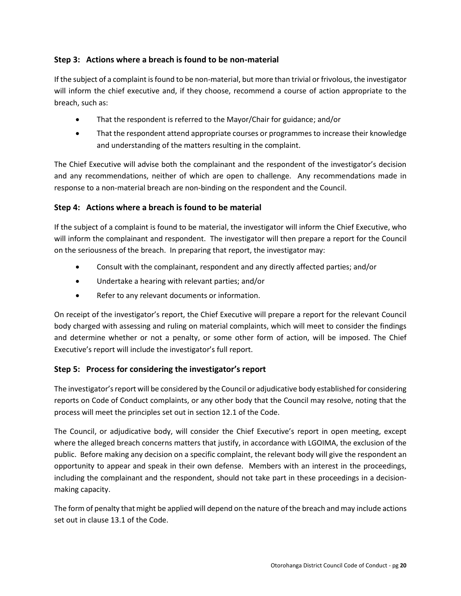## **Step 3: Actions where a breach is found to be non-material**

If the subject of a complaint is found to be non-material, but more than trivial or frivolous, the investigator will inform the chief executive and, if they choose, recommend a course of action appropriate to the breach, such as:

- That the respondent is referred to the Mayor/Chair for guidance; and/or
- That the respondent attend appropriate courses or programmes to increase their knowledge and understanding of the matters resulting in the complaint.

The Chief Executive will advise both the complainant and the respondent of the investigator's decision and any recommendations, neither of which are open to challenge. Any recommendations made in response to a non-material breach are non-binding on the respondent and the Council.

## **Step 4: Actions where a breach is found to be material**

If the subject of a complaint is found to be material, the investigator will inform the Chief Executive, who will inform the complainant and respondent. The investigator will then prepare a report for the Council on the seriousness of the breach. In preparing that report, the investigator may:

- Consult with the complainant, respondent and any directly affected parties; and/or
- Undertake a hearing with relevant parties; and/or
- Refer to any relevant documents or information.

On receipt of the investigator's report, the Chief Executive will prepare a report for the relevant Council body charged with assessing and ruling on material complaints, which will meet to consider the findings and determine whether or not a penalty, or some other form of action, will be imposed. The Chief Executive's report will include the investigator's full report.

## **Step 5: Process for considering the investigator's report**

The investigator's report will be considered by the Council or adjudicative body established for considering reports on Code of Conduct complaints, or any other body that the Council may resolve, noting that the process will meet the principles set out in section 12.1 of the Code.

The Council, or adjudicative body, will consider the Chief Executive's report in open meeting, except where the alleged breach concerns matters that justify, in accordance with LGOIMA, the exclusion of the public. Before making any decision on a specific complaint, the relevant body will give the respondent an opportunity to appear and speak in their own defense. Members with an interest in the proceedings, including the complainant and the respondent, should not take part in these proceedings in a decisionmaking capacity.

The form of penalty that might be applied will depend on the nature of the breach and may include actions set out in clause 13.1 of the Code.